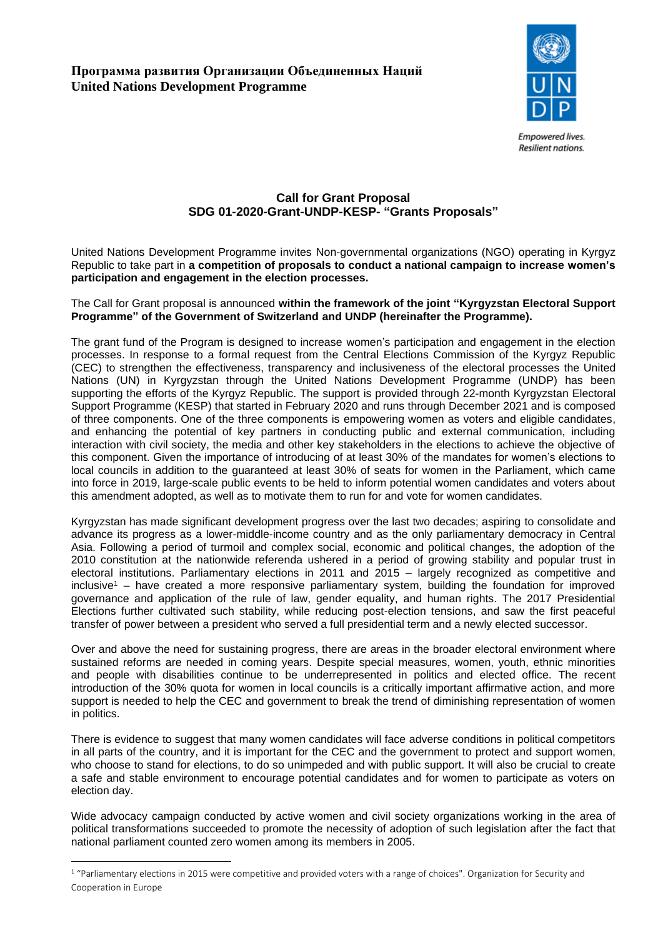

**Empowered lives. Resilient nations.** 

# **Call for Grant Proposal SDG 01-2020-Grant-UNDP-KESP- "Grants Proposals"**

United Nations Development Programme invites Non-governmental organizations (NGO) operating in Kyrgyz Republic to take part in **a competition of proposals to conduct a national campaign to increase women's participation and engagement in the election processes.**

#### The Call for Grant proposal is announced **within the framework of the joint "Kyrgyzstan Electoral Support Programme" of the Government of Switzerland and UNDP (hereinafter the Programme).**

The grant fund of the Program is designed to increase women's participation and engagement in the election processes. In response to a formal request from the Central Elections Commission of the Kyrgyz Republic (CEC) to strengthen the effectiveness, transparency and inclusiveness of the electoral processes the United Nations (UN) in Kyrgyzstan through the United Nations Development Programme (UNDP) has been supporting the efforts of the Kyrgyz Republic. The support is provided through 22-month Kyrgyzstan Electoral Support Programme (KESP) that started in February 2020 and runs through December 2021 and is composed of three components. One of the three components is empowering women as voters and eligible candidates, and enhancing the potential of key partners in conducting public and external communication, including interaction with civil society, the media and other key stakeholders in the elections to achieve the objective of this component. Given the importance of introducing of at least 30% of the mandates for women's elections to local councils in addition to the guaranteed at least 30% of seats for women in the Parliament, which came into force in 2019, large-scale public events to be held to inform potential women candidates and voters about this amendment adopted, as well as to motivate them to run for and vote for women candidates.

Kyrgyzstan has made significant development progress over the last two decades; aspiring to consolidate and advance its progress as a lower-middle-income country and as the only parliamentary democracy in Central Asia. Following a period of turmoil and complex social, economic and political changes, the adoption of the 2010 constitution at the nationwide referenda ushered in a period of growing stability and popular trust in electoral institutions. Parliamentary elections in 2011 and 2015 – largely recognized as competitive and inclusive<sup>1</sup> – have created a more responsive parliamentary system, building the foundation for improved governance and application of the rule of law, gender equality, and human rights. The 2017 Presidential Elections further cultivated such stability, while reducing post-election tensions, and saw the first peaceful transfer of power between a president who served a full presidential term and a newly elected successor.

Over and above the need for sustaining progress, there are areas in the broader electoral environment where sustained reforms are needed in coming years. Despite special measures, women, youth, ethnic minorities and people with disabilities continue to be underrepresented in politics and elected office. The recent introduction of the 30% quota for women in local councils is a critically important affirmative action, and more support is needed to help the CEC and government to break the trend of diminishing representation of women in politics.

There is evidence to suggest that many women candidates will face adverse conditions in political competitors in all parts of the country, and it is important for the CEC and the government to protect and support women, who choose to stand for elections, to do so unimpeded and with public support. It will also be crucial to create a safe and stable environment to encourage potential candidates and for women to participate as voters on election day.

Wide advocacy campaign conducted by active women and civil society organizations working in the area of political transformations succeeded to promote the necessity of adoption of such legislation after the fact that national parliament counted zero women among its members in 2005.

<sup>&</sup>lt;sup>1</sup> "Parliamentary elections in 2015 were competitive and provided voters with a range of choices". Organization for Security and Cooperation in Europe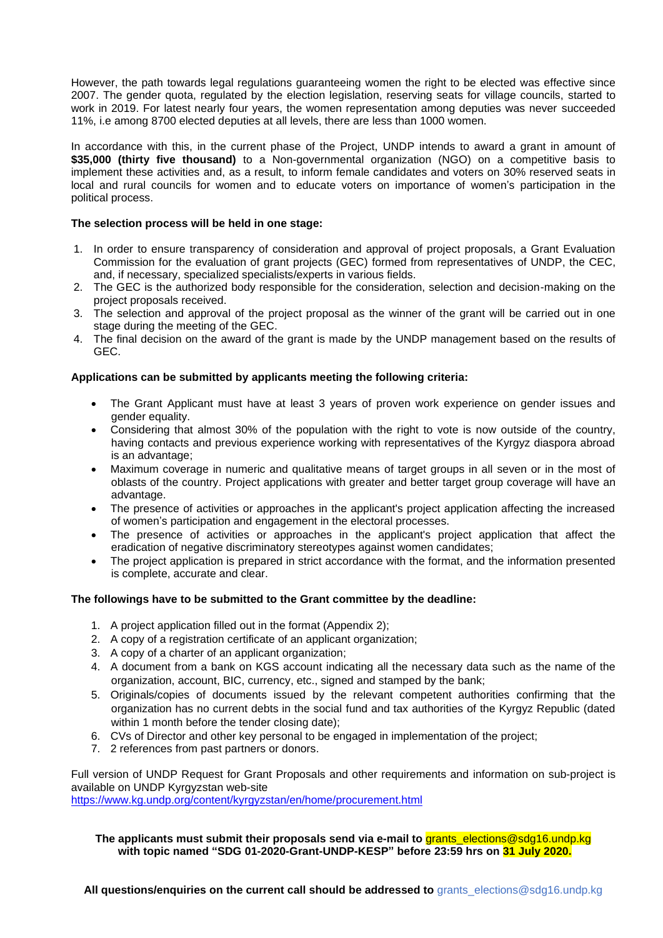However, the path towards legal regulations guaranteeing women the right to be elected was effective since 2007. The gender quota, regulated by the election legislation, reserving seats for village councils, started to work in 2019. For latest nearly four years, the women representation among deputies was never succeeded 11%, i.e among 8700 elected deputies at all levels, there are less than 1000 women.

In accordance with this, in the current phase of the Project, UNDP intends to award a grant in amount of **\$35,000 (thirty five thousand)** to a Non-governmental organization (NGO) on a competitive basis to implement these activities and, as a result, to inform female candidates and voters on 30% reserved seats in local and rural councils for women and to educate voters on importance of women's participation in the political process.

## **The selection process will be held in one stage:**

- 1. In order to ensure transparency of consideration and approval of project proposals, a Grant Evaluation Commission for the evaluation of grant projects (GEC) formed from representatives of UNDP, the CEC, and, if necessary, specialized specialists/experts in various fields.
- 2. The GEC is the authorized body responsible for the consideration, selection and decision-making on the project proposals received.
- 3. The selection and approval of the project proposal as the winner of the grant will be carried out in one stage during the meeting of the GEC.
- 4. The final decision on the award of the grant is made by the UNDP management based on the results of GEC.

#### **Applications can be submitted by applicants meeting the following criteria:**

- The Grant Applicant must have at least 3 years of proven work experience on gender issues and gender equality.
- Considering that almost 30% of the population with the right to vote is now outside of the country, having contacts and previous experience working with representatives of the Kyrgyz diaspora abroad is an advantage;
- Maximum coverage in numeric and qualitative means of target groups in all seven or in the most of oblasts of the country. Project applications with greater and better target group coverage will have an advantage.
- The presence of activities or approaches in the applicant's project application affecting the increased of women's participation and engagement in the electoral processes.
- The presence of activities or approaches in the applicant's project application that affect the eradication of negative discriminatory stereotypes against women candidates;
- The project application is prepared in strict accordance with the format, and the information presented is complete, accurate and clear.

## **The followings have to be submitted to the Grant committee by the deadline:**

- 1. A project application filled out in the format (Appendix 2);
- 2. A copy of a registration certificate of an applicant organization;
- 3. A copy of a charter of an applicant organization;
- 4. A document from a bank on KGS account indicating all the necessary data such as the name of the organization, account, BIC, currency, etc., signed and stamped by the bank;
- 5. Originals/copies of documents issued by the relevant competent authorities confirming that the organization has no current debts in the social fund and tax authorities of the Kyrgyz Republic (dated within 1 month before the tender closing date):
- 6. CVs of Director and other key personal to be engaged in implementation of the project;
- 7. 2 references from past partners or donors.

Full version of UNDP Request for Grant Proposals and other requirements and information on sub-project is available on UNDP Kyrgyzstan web-site

<https://www.kg.undp.org/content/kyrgyzstan/en/home/procurement.html>

**The applicants must submit their proposals send via e-mail to** grants\_elections@sdg16.undp.kg **with topic named "SDG 01-2020-Grant-UNDP-KESP" before 23:59 hrs on 31 July 2020.**